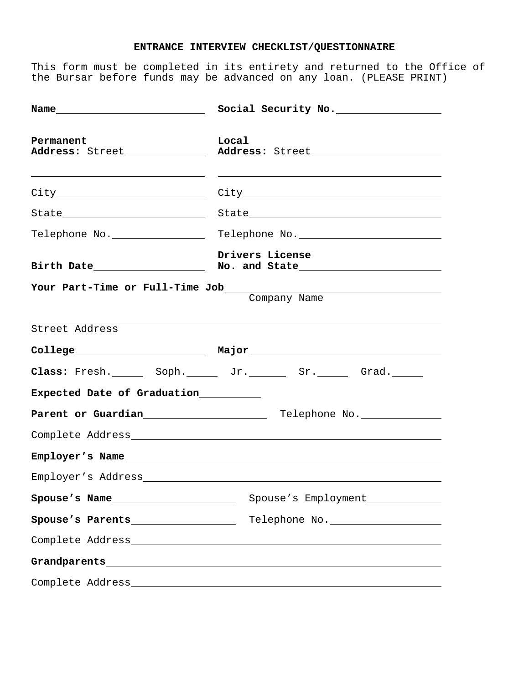## **ENTRANCE INTERVIEW CHECKLIST/QUESTIONNAIRE**

This form must be completed in its entirety and returned to the Office of the Bursar before funds may be advanced on any loan. (PLEASE PRINT)

|                                                                                                                                                                                                                               | Social Security No. __________________                                                                                 |
|-------------------------------------------------------------------------------------------------------------------------------------------------------------------------------------------------------------------------------|------------------------------------------------------------------------------------------------------------------------|
| Permanent<br>Address: Street                                                                                                                                                                                                  | Local                                                                                                                  |
|                                                                                                                                                                                                                               | <u> 1990 - Johann Stoff, deutscher Stoffen und der Stoffen und der Stoffen und der Stoffen und der Stoffen und der</u> |
|                                                                                                                                                                                                                               |                                                                                                                        |
| Telephone No. _________________                                                                                                                                                                                               |                                                                                                                        |
|                                                                                                                                                                                                                               | Drivers License                                                                                                        |
|                                                                                                                                                                                                                               | Company Name                                                                                                           |
| Street Address                                                                                                                                                                                                                |                                                                                                                        |
|                                                                                                                                                                                                                               |                                                                                                                        |
|                                                                                                                                                                                                                               | Class: Fresh. _______ Soph. ________ Jr. ________ Sr. _______ Grad. ______                                             |
| Expected Date of Graduation___________                                                                                                                                                                                        |                                                                                                                        |
|                                                                                                                                                                                                                               | Parent or Guardian<br><u> Felephone No.</u>                                                                            |
|                                                                                                                                                                                                                               |                                                                                                                        |
|                                                                                                                                                                                                                               | Employer's Name and the state of the state of the state of the state of the state of the state of the state of         |
| Employer's Address and the control of the control of the control of the control of the control of the control of the control of the control of the control of the control of the control of the control of the control of the |                                                                                                                        |
| Spouse's Name                                                                                                                                                                                                                 | Spouse's Employment                                                                                                    |
| Spouse's Parents___________________                                                                                                                                                                                           | Telephone No.                                                                                                          |
|                                                                                                                                                                                                                               |                                                                                                                        |
|                                                                                                                                                                                                                               |                                                                                                                        |
|                                                                                                                                                                                                                               |                                                                                                                        |